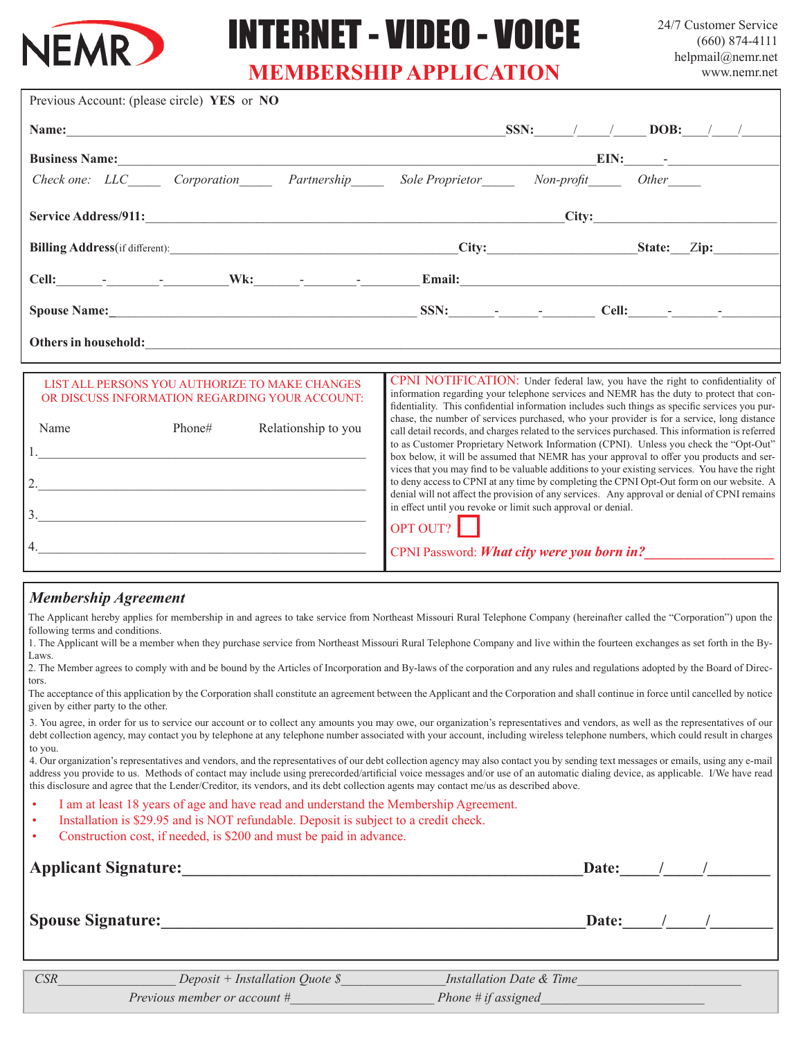

## INTERNET - VIDEO - VOICE

24/7 Customer Service (660) 874-4111 helpmail@nemr.net www.nemr.net

## **MEMBERSHIP APPLICATION**

| Previous Account: (please circle) YES or NO                                                                                                                                                                                          |                                                                                                                                                                                                                                                                                                                                                                                                                                                                                                                                                                                                                                                                                                                                                                                                                                                                                                                                                                                                                                               |  |  |  |  |
|--------------------------------------------------------------------------------------------------------------------------------------------------------------------------------------------------------------------------------------|-----------------------------------------------------------------------------------------------------------------------------------------------------------------------------------------------------------------------------------------------------------------------------------------------------------------------------------------------------------------------------------------------------------------------------------------------------------------------------------------------------------------------------------------------------------------------------------------------------------------------------------------------------------------------------------------------------------------------------------------------------------------------------------------------------------------------------------------------------------------------------------------------------------------------------------------------------------------------------------------------------------------------------------------------|--|--|--|--|
| Name:                                                                                                                                                                                                                                | SSN: $/$ DOB: $/$                                                                                                                                                                                                                                                                                                                                                                                                                                                                                                                                                                                                                                                                                                                                                                                                                                                                                                                                                                                                                             |  |  |  |  |
|                                                                                                                                                                                                                                      | Business Name: EIN: EIN: EIN:                                                                                                                                                                                                                                                                                                                                                                                                                                                                                                                                                                                                                                                                                                                                                                                                                                                                                                                                                                                                                 |  |  |  |  |
| Check one: LLC Corporation Partnership Sole Proprietor Non-profit                                                                                                                                                                    | $Other$ <sub>_______</sub>                                                                                                                                                                                                                                                                                                                                                                                                                                                                                                                                                                                                                                                                                                                                                                                                                                                                                                                                                                                                                    |  |  |  |  |
|                                                                                                                                                                                                                                      | City:                                                                                                                                                                                                                                                                                                                                                                                                                                                                                                                                                                                                                                                                                                                                                                                                                                                                                                                                                                                                                                         |  |  |  |  |
|                                                                                                                                                                                                                                      | City: State: Zip:                                                                                                                                                                                                                                                                                                                                                                                                                                                                                                                                                                                                                                                                                                                                                                                                                                                                                                                                                                                                                             |  |  |  |  |
|                                                                                                                                                                                                                                      |                                                                                                                                                                                                                                                                                                                                                                                                                                                                                                                                                                                                                                                                                                                                                                                                                                                                                                                                                                                                                                               |  |  |  |  |
|                                                                                                                                                                                                                                      | Spouse Name: Cell: Comparison Cell: Cell: Cell: Cell: Cell: Cell: Cell: Cell: Cell: Cell: Cell: Cell: Cell: Cell: Cell: Cell: Cell: Cell: Cell: Cell: Cell: Cell: Cell: Cell: Cell: Cell: Cell: Cell: Cell: Cell: Cell: Cell:                                                                                                                                                                                                                                                                                                                                                                                                                                                                                                                                                                                                                                                                                                                                                                                                                 |  |  |  |  |
| Others in household: <u>contract the contract of the contract of the contract of the contract of the contract of the contract of the contract of the contract of the contract of the contract of the contract of the contract of</u> |                                                                                                                                                                                                                                                                                                                                                                                                                                                                                                                                                                                                                                                                                                                                                                                                                                                                                                                                                                                                                                               |  |  |  |  |
| LIST ALL PERSONS YOU AUTHORIZE TO MAKE CHANGES<br>OR DISCUSS INFORMATION REGARDING YOUR ACCOUNT:<br>Phone#<br>Name<br>Relationship to you<br>2. $\qquad \qquad$<br>$\overline{\mathbf{3}}$ .                                         | CPNI NOTIFICATION: Under federal law, you have the right to confidentiality of<br>information regarding your telephone services and NEMR has the duty to protect that con-<br>fidentiality. This confidential information includes such things as specific services you pur-<br>chase, the number of services purchased, who your provider is for a service, long distance<br>call detail records, and charges related to the services purchased. This information is referred<br>to as Customer Proprietary Network Information (CPNI). Unless you check the "Opt-Out"<br>box below, it will be assumed that NEMR has your approval to offer you products and ser-<br>vices that you may find to be valuable additions to your existing services. You have the right<br>to deny access to CPNI at any time by completing the CPNI Opt-Out form on our website. A<br>denial will not affect the provision of any services. Any approval or denial of CPNI remains<br>in effect until you revoke or limit such approval or denial.<br>OPT OUT? |  |  |  |  |

CPNI Password: *What city were you born in?* 

## *Membership Agreement*

The Applicant hereby applies for membership in and agrees to take service from Northeast Missouri Rural Telephone Company (hereinafter called the "Corporation") upon the following terms and conditions.

1. The Applicant will be a member when they purchase service from Northeast Missouri Rural Telephone Company and live within the fourteen exchanges as set forth in the By-Laws.

2. The Member agrees to comply with and be bound by the Articles of Incorporation and By-laws of the corporation and any rules and regulations adopted by the Board of Directors.

The acceptance of this application by the Corporation shall constitute an agreement between the Applicant and the Corporation and shall continue in force until cancelled by notice given by either party to the other.

3. You agree, in order for us to service our account or to collect any amounts you may owe, our organization's representatives and vendors, as well as the representatives of our debt collection agency, may contact you by telephone at any telephone number associated with your account, including wireless telephone numbers, which could result in charges to you.

4. Our organization's representatives and vendors, and the representatives of our debt collection agency may also contact you by sending text messages or emails, using any e-mail address you provide to us. Methods of contact may include using prerecorded/artificial voice messages and/or use of an automatic dialing device, as applicable. I/We have read this disclosure and agree that the Lender/Creditor, its vendors, and its debt collection agents may contact me/us as described above.

- I am at least 18 years of age and have read and understand the Membership Agreement.
- Installation is \$29.95 and is NOT refundable. Deposit is subject to a credit check.
- Construction cost, if needed, is \$200 and must be paid in advance.

 $4.$ 

| <b>Applicant Signature:</b> | Date:                                |                          |       |  |  |
|-----------------------------|--------------------------------------|--------------------------|-------|--|--|
| <b>Spouse Signature:</b>    |                                      |                          | Date: |  |  |
| <b>CSR</b>                  | Deposit + Installation Quote $\oint$ | Installation Date & Time |       |  |  |

*Previous member or account # Phone # if assigned*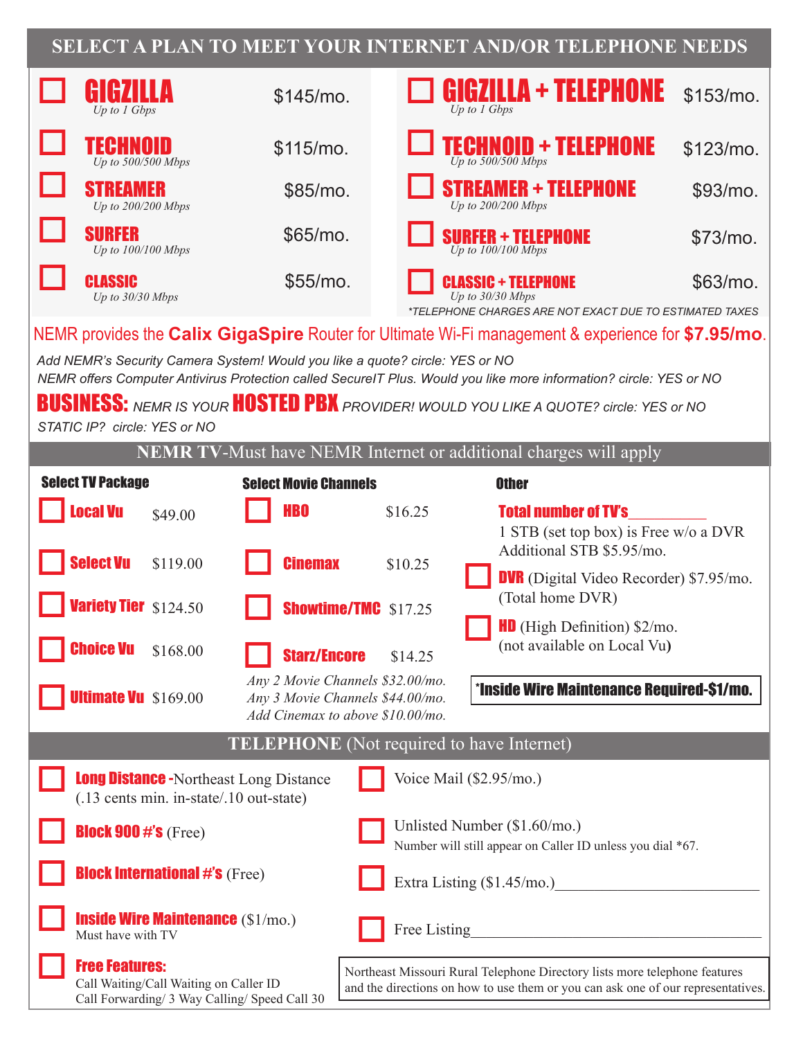## **SELECT A PLAN TO MEET YOUR INTERNET AND/OR TELEPHONE NEEDS**

|                                                                                                                           | 177<br>Up to $1$ Gbps                                                                                                                                                                                                                                                              |          | \$145/mo.                                        |                             |         | Up to 1 Gbps | GIGZILLA + TELEPHONE                                                        | $$153/mol$ . |
|---------------------------------------------------------------------------------------------------------------------------|------------------------------------------------------------------------------------------------------------------------------------------------------------------------------------------------------------------------------------------------------------------------------------|----------|--------------------------------------------------|-----------------------------|---------|--------------|-----------------------------------------------------------------------------|--------------|
|                                                                                                                           | TECHNOID<br>Up to $500/500$ Mbps                                                                                                                                                                                                                                                   |          | $$115/mol$ .                                     |                             |         |              | <b>FECHNOID + TELEPHONE</b><br>Up to $500/500$ Mbps                         | $$123/mol$ . |
|                                                                                                                           | STREAMER<br>Up to 200/200 Mbps                                                                                                                                                                                                                                                     |          | \$85/mo.                                         |                             |         |              | <b>STREAMER + TELEPHONE</b><br>Up to 200/200 Mbps                           | $$93/mo$ .   |
|                                                                                                                           | <b>SURFER</b><br>Up to 100/100 Mbps                                                                                                                                                                                                                                                |          | \$65/mo.                                         |                             |         |              | <b>SURFER + TELEPHONE</b><br>Up to $100/100$ Mbps                           | $$73/mo$ .   |
|                                                                                                                           | <b>CLASSIC</b><br>Up to 30/30 Mbps                                                                                                                                                                                                                                                 |          | \$55/mo.                                         |                             |         |              | <b>CLASSIC + TELEPHONE</b><br>Up to 30/30 Mbps                              | $$63/mo$ .   |
|                                                                                                                           | *TELEPHONE CHARGES ARE NOT EXACT DUE TO ESTIMATED TAXES<br>NEMR provides the Calix GigaSpire Router for Ultimate Wi-Fi management & experience for \$7.95/mo.<br>Add NEMR's Security Camera System! Would you like a quote? circle: YES or NO                                      |          |                                                  |                             |         |              |                                                                             |              |
|                                                                                                                           | NEMR offers Computer Antivirus Protection called SecureIT Plus. Would you like more information? circle: YES or NO<br><b>BUSINESS:</b> NEMR IS YOUR <b>HOSTED PBX</b> PROVIDER! WOULD YOU LIKE A QUOTE? circle: YES or NO<br>STATIC IP? circle: YES or NO                          |          |                                                  |                             |         |              |                                                                             |              |
|                                                                                                                           |                                                                                                                                                                                                                                                                                    |          |                                                  |                             |         |              | <b>NEMR TV-Must have NEMR Internet or additional charges will apply</b>     |              |
|                                                                                                                           | <b>Select TV Package</b>                                                                                                                                                                                                                                                           |          | <b>Select Movie Channels</b>                     |                             |         |              | <b>Other</b>                                                                |              |
|                                                                                                                           | <b>Local Vu</b>                                                                                                                                                                                                                                                                    | \$49.00  | <b>HBO</b>                                       |                             | \$16.25 |              | <b>Total number of TV's</b><br>1 STB (set top box) is Free w/o a DVR        |              |
|                                                                                                                           | <b>Select Vu</b>                                                                                                                                                                                                                                                                   | \$119.00 | <b>Cinemax</b>                                   |                             | \$10.25 |              | Additional STB \$5.95/mo.<br><b>DVR</b> (Digital Video Recorder) \$7.95/mo. |              |
|                                                                                                                           | <b>Variety Tier</b> \$124.50                                                                                                                                                                                                                                                       |          |                                                  | <b>Showtime/TMC</b> \$17.25 |         |              | (Total home DVR)<br><b>HD</b> (High Definition) $$2/m$ .                    |              |
|                                                                                                                           | <b>Choice Vu</b> \$168.00                                                                                                                                                                                                                                                          |          | <b>Starz/Encore</b>                              |                             | \$14.25 |              | (not available on Local Vu)                                                 |              |
|                                                                                                                           | Any 2 Movie Channels \$32.00/mo.<br><b>*Inside Wire Maintenance Required-\$1/mo.</b><br><b>Ultimate Vu</b> \$169.00<br>Any 3 Movie Channels \$44.00/mo.<br>Add Cinemax to above \$10.00/mo.                                                                                        |          |                                                  |                             |         |              |                                                                             |              |
|                                                                                                                           |                                                                                                                                                                                                                                                                                    |          | <b>TELEPHONE</b> (Not required to have Internet) |                             |         |              |                                                                             |              |
| Voice Mail (\$2.95/mo.)<br><b>Long Distance -</b> Northeast Long Distance<br>(.13 cents min. in-state/.10 out-state)      |                                                                                                                                                                                                                                                                                    |          |                                                  |                             |         |              |                                                                             |              |
| Unlisted Number (\$1.60/mo.)<br><b>Block 900 #'s</b> (Free)<br>Number will still appear on Caller ID unless you dial *67. |                                                                                                                                                                                                                                                                                    |          |                                                  |                             |         |              |                                                                             |              |
| <b>Block International #'s (Free)</b><br>Extra Listing (\$1.45/mo.)                                                       |                                                                                                                                                                                                                                                                                    |          |                                                  |                             |         |              |                                                                             |              |
| <b>Inside Wire Maintenance (\$1/mo.)</b><br>Free Listing The Listing<br>Must have with TV                                 |                                                                                                                                                                                                                                                                                    |          |                                                  |                             |         |              |                                                                             |              |
|                                                                                                                           | <b>Free Features:</b><br>Northeast Missouri Rural Telephone Directory lists more telephone features<br>Call Waiting/Call Waiting on Caller ID<br>and the directions on how to use them or you can ask one of our representatives.<br>Call Forwarding/ 3 Way Calling/ Speed Call 30 |          |                                                  |                             |         |              |                                                                             |              |